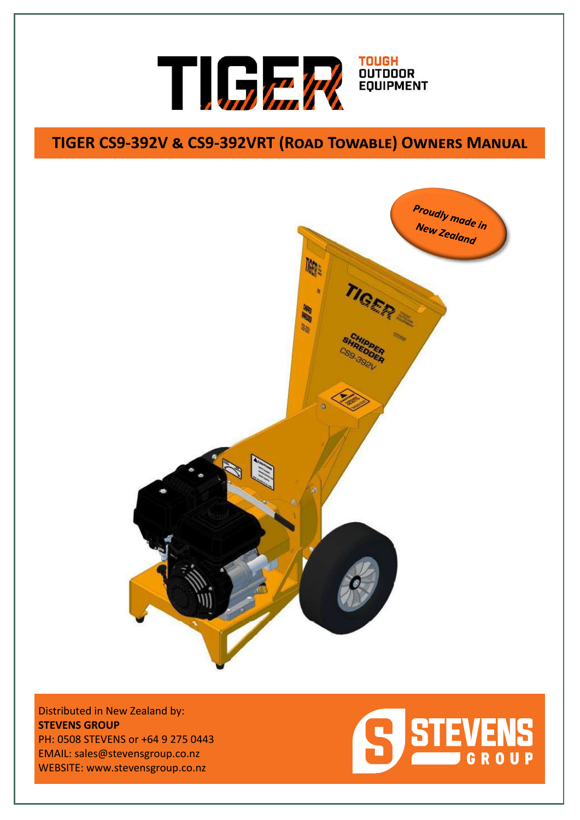

# **TIGER CS9-392V & CS9-392VRT (Road Towable) Owners Manual**



Distributed in New Zealand by: **STEVENS GROUP** PH: 0508 STEVENS or +64 9 275 0443 EMAIL: sales@stevensgroup.co.nz WEBSITE: www.stevensgroup.co.nz

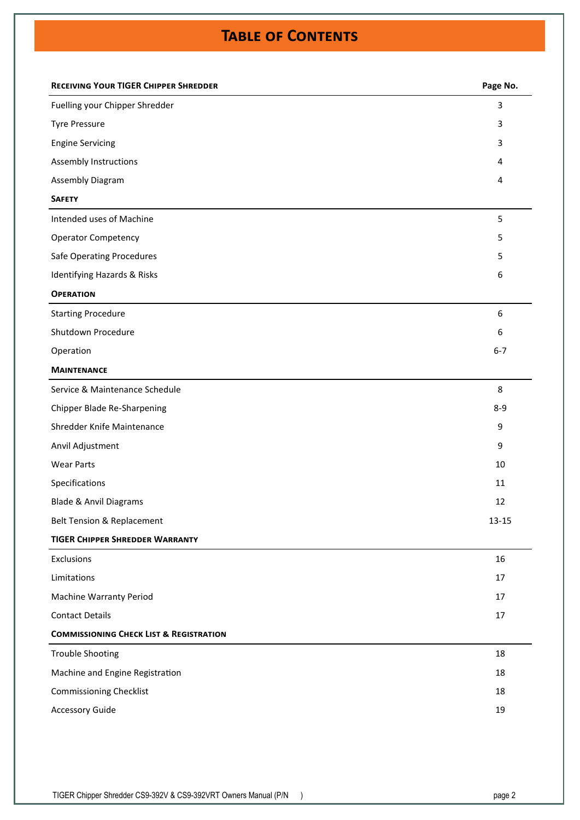# **Table of Contents**

| 3<br>Fuelling your Chipper Shredder<br><b>Tyre Pressure</b><br>3<br><b>Engine Servicing</b><br>3<br>Assembly Instructions<br>4<br>Assembly Diagram<br>4<br><b>SAFETY</b><br>Intended uses of Machine<br>5<br><b>Operator Competency</b><br>5<br><b>Safe Operating Procedures</b><br>5<br>Identifying Hazards & Risks<br>6<br><b>OPERATION</b><br>6<br><b>Starting Procedure</b><br>Shutdown Procedure<br>6<br>$6 - 7$<br>Operation<br><b>MAINTENANCE</b><br>Service & Maintenance Schedule<br>8<br>Chipper Blade Re-Sharpening<br>$8-9$<br>Shredder Knife Maintenance<br>9<br>Anvil Adjustment<br>9<br><b>Wear Parts</b><br>10<br>Specifications<br>11<br><b>Blade &amp; Anvil Diagrams</b><br>12<br>$13 - 15$<br>Belt Tension & Replacement<br><b>TIGER CHIPPER SHREDDER WARRANTY</b><br>16<br>Exclusions<br>Limitations<br>17<br><b>Machine Warranty Period</b><br>17<br><b>Contact Details</b><br>17<br><b>COMMISSIONING CHECK LIST &amp; REGISTRATION</b><br><b>Trouble Shooting</b><br>18<br>Machine and Engine Registration<br>18<br><b>Commissioning Checklist</b><br>18<br><b>Accessory Guide</b><br>19 | <b>RECEIVING YOUR TIGER CHIPPER SHREDDER</b> | Page No. |
|-----------------------------------------------------------------------------------------------------------------------------------------------------------------------------------------------------------------------------------------------------------------------------------------------------------------------------------------------------------------------------------------------------------------------------------------------------------------------------------------------------------------------------------------------------------------------------------------------------------------------------------------------------------------------------------------------------------------------------------------------------------------------------------------------------------------------------------------------------------------------------------------------------------------------------------------------------------------------------------------------------------------------------------------------------------------------------------------------------------------|----------------------------------------------|----------|
|                                                                                                                                                                                                                                                                                                                                                                                                                                                                                                                                                                                                                                                                                                                                                                                                                                                                                                                                                                                                                                                                                                                 |                                              |          |
|                                                                                                                                                                                                                                                                                                                                                                                                                                                                                                                                                                                                                                                                                                                                                                                                                                                                                                                                                                                                                                                                                                                 |                                              |          |
|                                                                                                                                                                                                                                                                                                                                                                                                                                                                                                                                                                                                                                                                                                                                                                                                                                                                                                                                                                                                                                                                                                                 |                                              |          |
|                                                                                                                                                                                                                                                                                                                                                                                                                                                                                                                                                                                                                                                                                                                                                                                                                                                                                                                                                                                                                                                                                                                 |                                              |          |
|                                                                                                                                                                                                                                                                                                                                                                                                                                                                                                                                                                                                                                                                                                                                                                                                                                                                                                                                                                                                                                                                                                                 |                                              |          |
|                                                                                                                                                                                                                                                                                                                                                                                                                                                                                                                                                                                                                                                                                                                                                                                                                                                                                                                                                                                                                                                                                                                 |                                              |          |
|                                                                                                                                                                                                                                                                                                                                                                                                                                                                                                                                                                                                                                                                                                                                                                                                                                                                                                                                                                                                                                                                                                                 |                                              |          |
|                                                                                                                                                                                                                                                                                                                                                                                                                                                                                                                                                                                                                                                                                                                                                                                                                                                                                                                                                                                                                                                                                                                 |                                              |          |
|                                                                                                                                                                                                                                                                                                                                                                                                                                                                                                                                                                                                                                                                                                                                                                                                                                                                                                                                                                                                                                                                                                                 |                                              |          |
|                                                                                                                                                                                                                                                                                                                                                                                                                                                                                                                                                                                                                                                                                                                                                                                                                                                                                                                                                                                                                                                                                                                 |                                              |          |
|                                                                                                                                                                                                                                                                                                                                                                                                                                                                                                                                                                                                                                                                                                                                                                                                                                                                                                                                                                                                                                                                                                                 |                                              |          |
|                                                                                                                                                                                                                                                                                                                                                                                                                                                                                                                                                                                                                                                                                                                                                                                                                                                                                                                                                                                                                                                                                                                 |                                              |          |
|                                                                                                                                                                                                                                                                                                                                                                                                                                                                                                                                                                                                                                                                                                                                                                                                                                                                                                                                                                                                                                                                                                                 |                                              |          |
|                                                                                                                                                                                                                                                                                                                                                                                                                                                                                                                                                                                                                                                                                                                                                                                                                                                                                                                                                                                                                                                                                                                 |                                              |          |
|                                                                                                                                                                                                                                                                                                                                                                                                                                                                                                                                                                                                                                                                                                                                                                                                                                                                                                                                                                                                                                                                                                                 |                                              |          |
|                                                                                                                                                                                                                                                                                                                                                                                                                                                                                                                                                                                                                                                                                                                                                                                                                                                                                                                                                                                                                                                                                                                 |                                              |          |
|                                                                                                                                                                                                                                                                                                                                                                                                                                                                                                                                                                                                                                                                                                                                                                                                                                                                                                                                                                                                                                                                                                                 |                                              |          |
|                                                                                                                                                                                                                                                                                                                                                                                                                                                                                                                                                                                                                                                                                                                                                                                                                                                                                                                                                                                                                                                                                                                 |                                              |          |
|                                                                                                                                                                                                                                                                                                                                                                                                                                                                                                                                                                                                                                                                                                                                                                                                                                                                                                                                                                                                                                                                                                                 |                                              |          |
|                                                                                                                                                                                                                                                                                                                                                                                                                                                                                                                                                                                                                                                                                                                                                                                                                                                                                                                                                                                                                                                                                                                 |                                              |          |
|                                                                                                                                                                                                                                                                                                                                                                                                                                                                                                                                                                                                                                                                                                                                                                                                                                                                                                                                                                                                                                                                                                                 |                                              |          |
|                                                                                                                                                                                                                                                                                                                                                                                                                                                                                                                                                                                                                                                                                                                                                                                                                                                                                                                                                                                                                                                                                                                 |                                              |          |
|                                                                                                                                                                                                                                                                                                                                                                                                                                                                                                                                                                                                                                                                                                                                                                                                                                                                                                                                                                                                                                                                                                                 |                                              |          |
|                                                                                                                                                                                                                                                                                                                                                                                                                                                                                                                                                                                                                                                                                                                                                                                                                                                                                                                                                                                                                                                                                                                 |                                              |          |
|                                                                                                                                                                                                                                                                                                                                                                                                                                                                                                                                                                                                                                                                                                                                                                                                                                                                                                                                                                                                                                                                                                                 |                                              |          |
|                                                                                                                                                                                                                                                                                                                                                                                                                                                                                                                                                                                                                                                                                                                                                                                                                                                                                                                                                                                                                                                                                                                 |                                              |          |
|                                                                                                                                                                                                                                                                                                                                                                                                                                                                                                                                                                                                                                                                                                                                                                                                                                                                                                                                                                                                                                                                                                                 |                                              |          |
|                                                                                                                                                                                                                                                                                                                                                                                                                                                                                                                                                                                                                                                                                                                                                                                                                                                                                                                                                                                                                                                                                                                 |                                              |          |
|                                                                                                                                                                                                                                                                                                                                                                                                                                                                                                                                                                                                                                                                                                                                                                                                                                                                                                                                                                                                                                                                                                                 |                                              |          |
|                                                                                                                                                                                                                                                                                                                                                                                                                                                                                                                                                                                                                                                                                                                                                                                                                                                                                                                                                                                                                                                                                                                 |                                              |          |
|                                                                                                                                                                                                                                                                                                                                                                                                                                                                                                                                                                                                                                                                                                                                                                                                                                                                                                                                                                                                                                                                                                                 |                                              |          |
|                                                                                                                                                                                                                                                                                                                                                                                                                                                                                                                                                                                                                                                                                                                                                                                                                                                                                                                                                                                                                                                                                                                 |                                              |          |
|                                                                                                                                                                                                                                                                                                                                                                                                                                                                                                                                                                                                                                                                                                                                                                                                                                                                                                                                                                                                                                                                                                                 |                                              |          |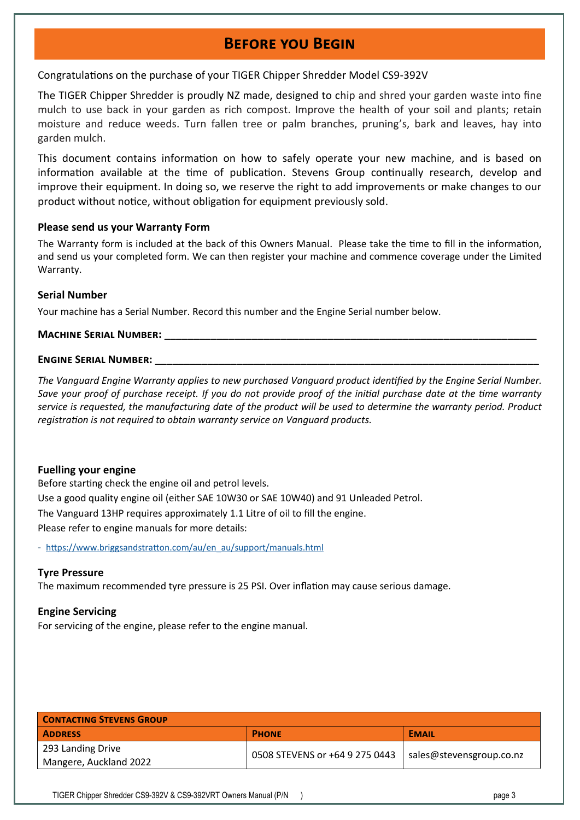### **Before you Begin**

Congratulations on the purchase of your TIGER Chipper Shredder Model CS9-392V

The TIGER Chipper Shredder is proudly NZ made, designed to chip and shred your garden waste into fine mulch to use back in your garden as rich compost. Improve the health of your soil and plants; retain moisture and reduce weeds. Turn fallen tree or palm branches, pruning's, bark and leaves, hay into garden mulch.

This document contains information on how to safely operate your new machine, and is based on information available at the time of publication. Stevens Group continually research, develop and improve their equipment. In doing so, we reserve the right to add improvements or make changes to our product without notice, without obligation for equipment previously sold.

### **Please send us your Warranty Form**

The Warranty form is included at the back of this Owners Manual. Please take the time to fill in the information, and send us your completed form. We can then register your machine and commence coverage under the Limited Warranty.

### **Serial Number**

Your machine has a Serial Number. Record this number and the Engine Serial number below.

### **MACHINE SERIAL NUMBER:**

### **ENGINE SERIAL NUMBER:**

*The Vanguard Engine Warranty applies to new purchased Vanguard product identified by the Engine Serial Number. Save your proof of purchase receipt. If you do not provide proof of the initial purchase date at the time warranty service is requested, the manufacturing date of the product will be used to determine the warranty period. Product registration is not required to obtain warranty service on Vanguard products.* 

### **Fuelling your engine**

Before starting check the engine oil and petrol levels. Use a good quality engine oil (either SAE 10W30 or SAE 10W40) and 91 Unleaded Petrol. The Vanguard 13HP requires approximately 1.1 Litre of oil to fill the engine. Please refer to engine manuals for more details:

- [https://www.briggsandstratton.com/au/en\\_au/support/manuals.html](https://www.briggsandstratton.com/au/en_au/support/manuals.html)

### **Tyre Pressure**

The maximum recommended tyre pressure is 25 PSI. Over inflation may cause serious damage.

### **Engine Servicing**

For servicing of the engine, please refer to the engine manual.

| <b>CONTACTING STEVENS GROUP</b> |                                |                          |  |
|---------------------------------|--------------------------------|--------------------------|--|
| <b>ADDRESS</b>                  | <b>PHONE</b>                   | <b>EMAIL</b>             |  |
| 293 Landing Drive               |                                | sales@stevensgroup.co.nz |  |
| Mangere, Auckland 2022          | 0508 STEVENS or +64 9 275 0443 |                          |  |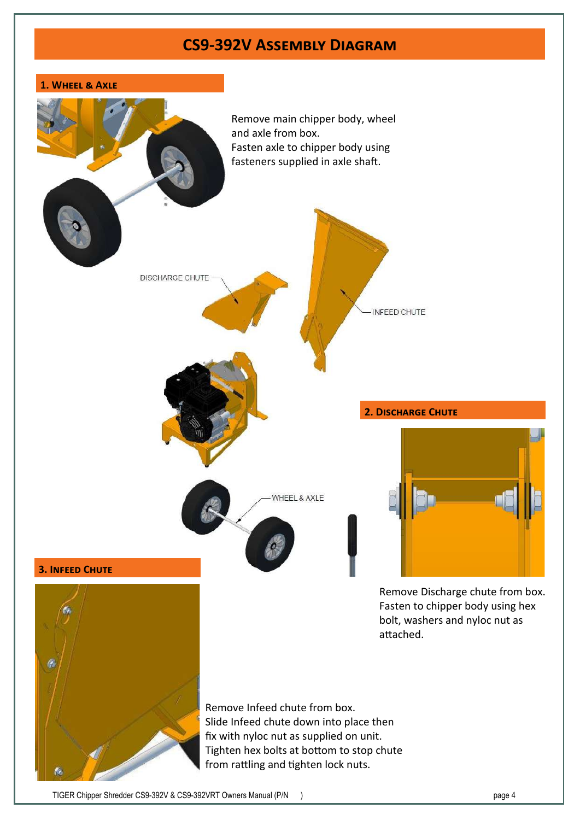### **CS9-392V Assembly Diagram**

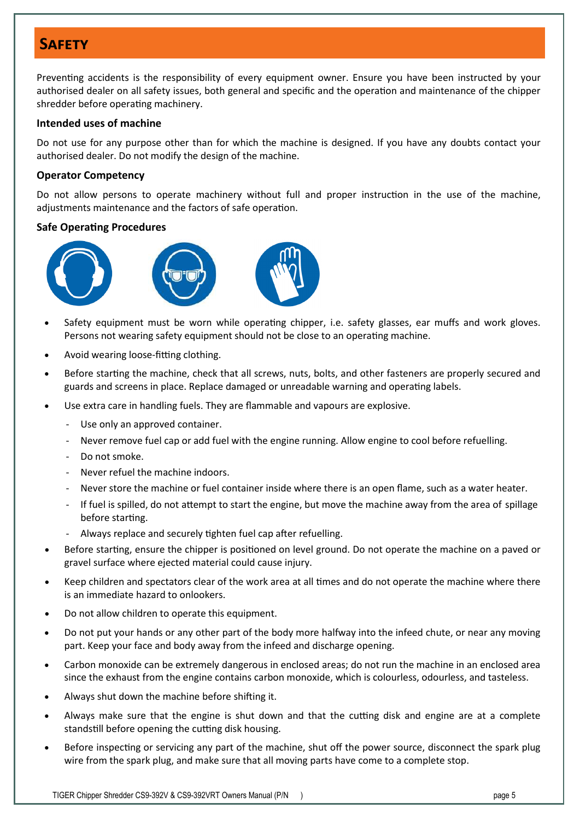### **Safety**

Preventing accidents is the responsibility of every equipment owner. Ensure you have been instructed by your authorised dealer on all safety issues, both general and specific and the operation and maintenance of the chipper shredder before operating machinery.

### **Intended uses of machine**

Do not use for any purpose other than for which the machine is designed. If you have any doubts contact your authorised dealer. Do not modify the design of the machine.

### **Operator Competency**

Do not allow persons to operate machinery without full and proper instruction in the use of the machine, adjustments maintenance and the factors of safe operation.

### **Safe Operating Procedures**







- Safety equipment must be worn while operating chipper, i.e. safety glasses, ear muffs and work gloves. Persons not wearing safety equipment should not be close to an operating machine.
- Avoid wearing loose-fitting clothing.
- Before starting the machine, check that all screws, nuts, bolts, and other fasteners are properly secured and guards and screens in place. Replace damaged or unreadable warning and operating labels.
- Use extra care in handling fuels. They are flammable and vapours are explosive.
	- Use only an approved container.
	- Never remove fuel cap or add fuel with the engine running. Allow engine to cool before refuelling.
	- Do not smoke.
	- Never refuel the machine indoors.
	- Never store the machine or fuel container inside where there is an open flame, such as a water heater.
	- If fuel is spilled, do not attempt to start the engine, but move the machine away from the area of spillage before starting.
	- Always replace and securely tighten fuel cap after refuelling.
- Before starting, ensure the chipper is positioned on level ground. Do not operate the machine on a paved or gravel surface where ejected material could cause injury.
- Keep children and spectators clear of the work area at all times and do not operate the machine where there is an immediate hazard to onlookers.
- Do not allow children to operate this equipment.
- Do not put your hands or any other part of the body more halfway into the infeed chute, or near any moving part. Keep your face and body away from the infeed and discharge opening.
- Carbon monoxide can be extremely dangerous in enclosed areas; do not run the machine in an enclosed area since the exhaust from the engine contains carbon monoxide, which is colourless, odourless, and tasteless.
- Always shut down the machine before shifting it.
- Always make sure that the engine is shut down and that the cutting disk and engine are at a complete standstill before opening the cutting disk housing.
- Before inspecting or servicing any part of the machine, shut off the power source, disconnect the spark plug wire from the spark plug, and make sure that all moving parts have come to a complete stop.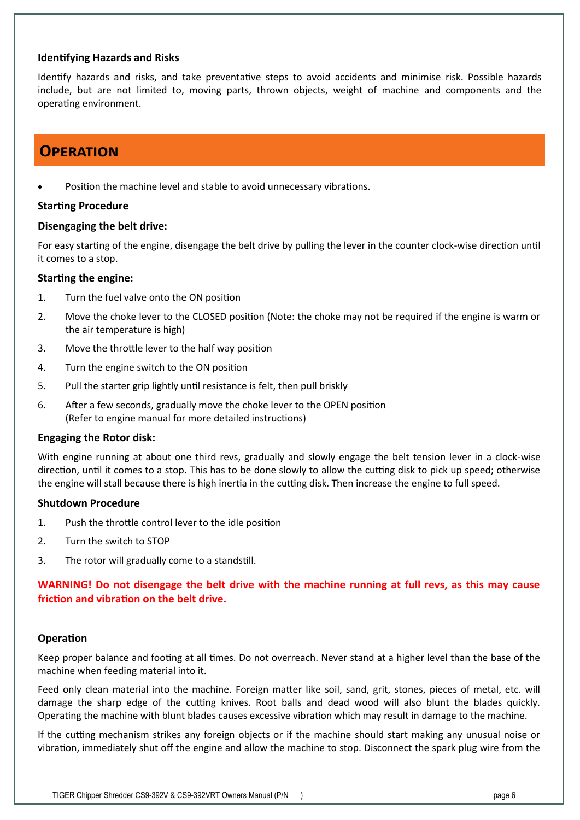### **Identifying Hazards and Risks**

Identify hazards and risks, and take preventative steps to avoid accidents and minimise risk. Possible hazards include, but are not limited to, moving parts, thrown objects, weight of machine and components and the operating environment.

### **Operation**

Position the machine level and stable to avoid unnecessary vibrations.

### **Starting Procedure**

### **Disengaging the belt drive:**

For easy starting of the engine, disengage the belt drive by pulling the lever in the counter clock-wise direction until it comes to a stop.

### **Starting the engine:**

- 1. Turn the fuel valve onto the ON position
- 2. Move the choke lever to the CLOSED position (Note: the choke may not be required if the engine is warm or the air temperature is high)
- 3. Move the throttle lever to the half way position
- 4. Turn the engine switch to the ON position
- 5. Pull the starter grip lightly until resistance is felt, then pull briskly
- 6. After a few seconds, gradually move the choke lever to the OPEN position (Refer to engine manual for more detailed instructions)

### **Engaging the Rotor disk:**

With engine running at about one third revs, gradually and slowly engage the belt tension lever in a clock-wise direction, until it comes to a stop. This has to be done slowly to allow the cutting disk to pick up speed; otherwise the engine will stall because there is high inertia in the cutting disk. Then increase the engine to full speed.

### **Shutdown Procedure**

- 1. Push the throttle control lever to the idle position
- 2. Turn the switch to STOP
- 3. The rotor will gradually come to a standstill.

**WARNING! Do not disengage the belt drive with the machine running at full revs, as this may cause friction and vibration on the belt drive.** 

### **Operation**

Keep proper balance and footing at all times. Do not overreach. Never stand at a higher level than the base of the machine when feeding material into it.

Feed only clean material into the machine. Foreign matter like soil, sand, grit, stones, pieces of metal, etc. will damage the sharp edge of the cutting knives. Root balls and dead wood will also blunt the blades quickly. Operating the machine with blunt blades causes excessive vibration which may result in damage to the machine.

If the cutting mechanism strikes any foreign objects or if the machine should start making any unusual noise or vibration, immediately shut off the engine and allow the machine to stop. Disconnect the spark plug wire from the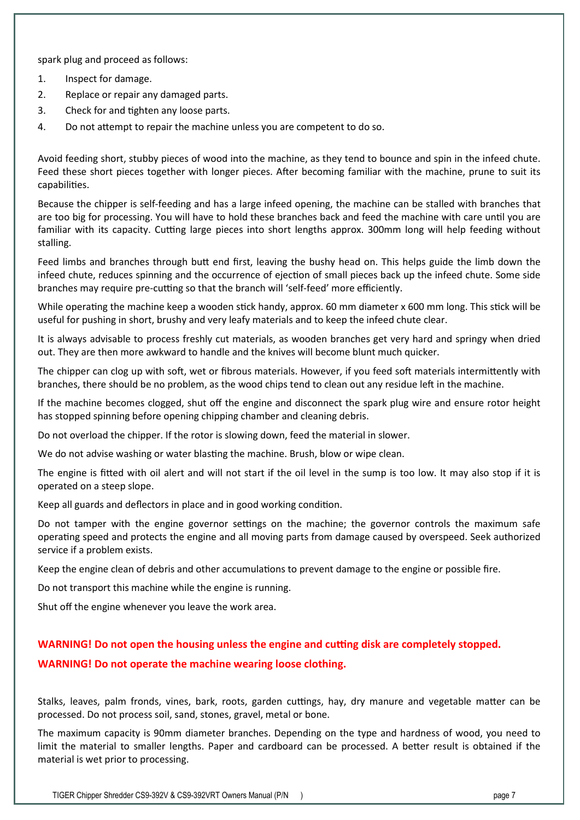spark plug and proceed as follows:

- 1. Inspect for damage.
- 2. Replace or repair any damaged parts.
- 3. Check for and tighten any loose parts.
- 4. Do not attempt to repair the machine unless you are competent to do so.

Avoid feeding short, stubby pieces of wood into the machine, as they tend to bounce and spin in the infeed chute. Feed these short pieces together with longer pieces. After becoming familiar with the machine, prune to suit its capabilities.

Because the chipper is self-feeding and has a large infeed opening, the machine can be stalled with branches that are too big for processing. You will have to hold these branches back and feed the machine with care until you are familiar with its capacity. Cutting large pieces into short lengths approx. 300mm long will help feeding without stalling.

Feed limbs and branches through butt end first, leaving the bushy head on. This helps guide the limb down the infeed chute, reduces spinning and the occurrence of ejection of small pieces back up the infeed chute. Some side branches may require pre-cutting so that the branch will 'self-feed' more efficiently.

While operating the machine keep a wooden stick handy, approx. 60 mm diameter x 600 mm long. This stick will be useful for pushing in short, brushy and very leafy materials and to keep the infeed chute clear.

It is always advisable to process freshly cut materials, as wooden branches get very hard and springy when dried out. They are then more awkward to handle and the knives will become blunt much quicker.

The chipper can clog up with soft, wet or fibrous materials. However, if you feed soft materials intermittently with branches, there should be no problem, as the wood chips tend to clean out any residue left in the machine.

If the machine becomes clogged, shut off the engine and disconnect the spark plug wire and ensure rotor height has stopped spinning before opening chipping chamber and cleaning debris.

Do not overload the chipper. If the rotor is slowing down, feed the material in slower.

We do not advise washing or water blasting the machine. Brush, blow or wipe clean.

The engine is fitted with oil alert and will not start if the oil level in the sump is too low. It may also stop if it is operated on a steep slope.

Keep all guards and deflectors in place and in good working condition.

Do not tamper with the engine governor settings on the machine; the governor controls the maximum safe operating speed and protects the engine and all moving parts from damage caused by overspeed. Seek authorized service if a problem exists.

Keep the engine clean of debris and other accumulations to prevent damage to the engine or possible fire.

Do not transport this machine while the engine is running.

Shut off the engine whenever you leave the work area.

#### **WARNING! Do not open the housing unless the engine and cutting disk are completely stopped.**

#### **WARNING! Do not operate the machine wearing loose clothing.**

Stalks, leaves, palm fronds, vines, bark, roots, garden cuttings, hay, dry manure and vegetable matter can be processed. Do not process soil, sand, stones, gravel, metal or bone.

The maximum capacity is 90mm diameter branches. Depending on the type and hardness of wood, you need to limit the material to smaller lengths. Paper and cardboard can be processed. A better result is obtained if the material is wet prior to processing.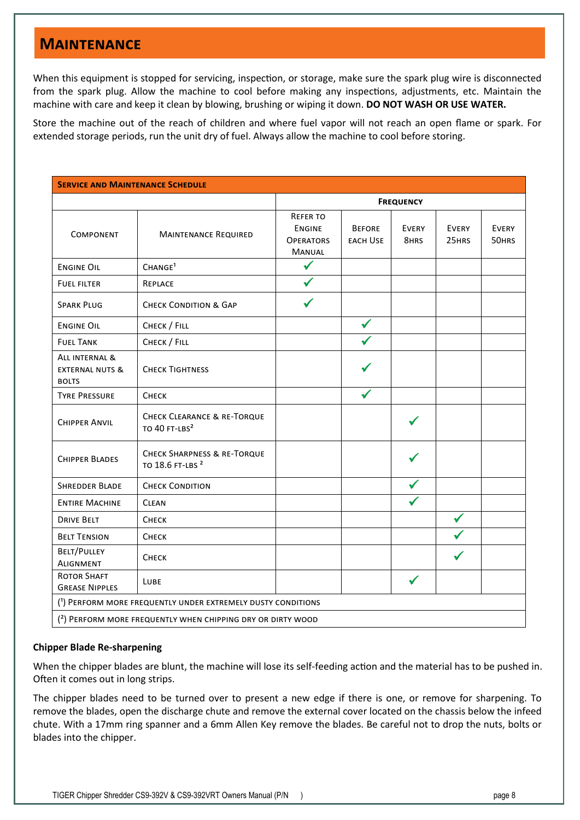### **Maintenance**

When this equipment is stopped for servicing, inspection, or storage, make sure the spark plug wire is disconnected from the spark plug. Allow the machine to cool before making any inspections, adjustments, etc. Maintain the machine with care and keep it clean by blowing, brushing or wiping it down. **DO NOT WASH OR USE WATER.** 

Store the machine out of the reach of children and where fuel vapor will not reach an open flame or spark. For extended storage periods, run the unit dry of fuel. Always allow the machine to cool before storing.

| <b>SERVICE AND MAINTENANCE SCHEDULE</b>                      |                                                                        |                                                                       |                                  |               |                       |                       |
|--------------------------------------------------------------|------------------------------------------------------------------------|-----------------------------------------------------------------------|----------------------------------|---------------|-----------------------|-----------------------|
|                                                              |                                                                        | <b>FREQUENCY</b>                                                      |                                  |               |                       |                       |
| COMPONENT                                                    | <b>MAINTENANCE REQUIRED</b>                                            | <b>REFER TO</b><br><b>ENGINE</b><br><b>OPERATORS</b><br><b>MANUAL</b> | <b>BEFORE</b><br><b>EACH USE</b> | EVERY<br>8HRS | <b>EVERY</b><br>25HRS | <b>EVERY</b><br>50HRS |
| <b>ENGINE OIL</b>                                            | CHANGE <sup>1</sup>                                                    | ✔                                                                     |                                  |               |                       |                       |
| <b>FUEL FILTER</b>                                           | REPLACE                                                                | ✔                                                                     |                                  |               |                       |                       |
| <b>SPARK PLUG</b>                                            | <b>CHECK CONDITION &amp; GAP</b>                                       | ✔                                                                     |                                  |               |                       |                       |
| <b>ENGINE OIL</b>                                            | CHECK / FILL                                                           |                                                                       | ✔                                |               |                       |                       |
| <b>FUEL TANK</b>                                             | CHECK / FILL                                                           |                                                                       |                                  |               |                       |                       |
| ALL INTERNAL &<br><b>EXTERNAL NUTS &amp;</b><br><b>BOLTS</b> | <b>CHECK TIGHTNESS</b>                                                 |                                                                       |                                  |               |                       |                       |
| <b>TYRE PRESSURE</b>                                         | СНЕСК                                                                  |                                                                       |                                  |               |                       |                       |
| <b>CHIPPER ANVIL</b>                                         | <b>CHECK CLEARANCE &amp; RE-TORQUE</b><br>TO 40 FT-LBS <sup>2</sup>    |                                                                       |                                  |               |                       |                       |
| <b>CHIPPER BLADES</b>                                        | <b>CHECK SHARPNESS &amp; RE-TORQUE</b><br>TO 18.6 FT-LBS <sup>2</sup>  |                                                                       |                                  |               |                       |                       |
| <b>SHREDDER BLADE</b>                                        | <b>CHECK CONDITION</b>                                                 |                                                                       |                                  |               |                       |                       |
| <b>ENTIRE MACHINE</b>                                        | <b>CLEAN</b>                                                           |                                                                       |                                  |               |                       |                       |
| <b>DRIVE BELT</b>                                            | Снеск                                                                  |                                                                       |                                  |               | $\checkmark$          |                       |
| <b>BELT TENSION</b>                                          | СНЕСК                                                                  |                                                                       |                                  |               |                       |                       |
| BELT/PULLEY<br><b>ALIGNMENT</b>                              | Снеск                                                                  |                                                                       |                                  |               |                       |                       |
| <b>ROTOR SHAFT</b><br><b>GREASE NIPPLES</b>                  | LUBE                                                                   |                                                                       |                                  |               |                       |                       |
| (1) PERFORM MORE FREQUENTLY UNDER EXTREMELY DUSTY CONDITIONS |                                                                        |                                                                       |                                  |               |                       |                       |
|                                                              | <sup>(2)</sup> PERFORM MORE FREQUENTLY WHEN CHIPPING DRY OR DIRTY WOOD |                                                                       |                                  |               |                       |                       |

### **Chipper Blade Re-sharpening**

When the chipper blades are blunt, the machine will lose its self-feeding action and the material has to be pushed in. Often it comes out in long strips.

The chipper blades need to be turned over to present a new edge if there is one, or remove for sharpening. To remove the blades, open the discharge chute and remove the external cover located on the chassis below the infeed chute. With a 17mm ring spanner and a 6mm Allen Key remove the blades. Be careful not to drop the nuts, bolts or blades into the chipper.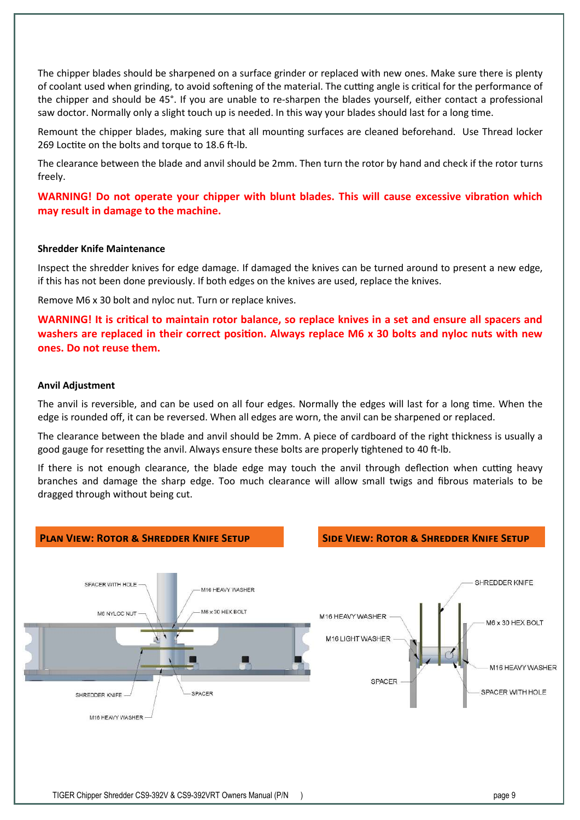The chipper blades should be sharpened on a surface grinder or replaced with new ones. Make sure there is plenty of coolant used when grinding, to avoid softening of the material. The cutting angle is critical for the performance of the chipper and should be 45°. If you are unable to re-sharpen the blades yourself, either contact a professional saw doctor. Normally only a slight touch up is needed. In this way your blades should last for a long time.

Remount the chipper blades, making sure that all mounting surfaces are cleaned beforehand. Use Thread locker 269 Loctite on the bolts and torque to 18.6 ft-lb.

The clearance between the blade and anvil should be 2mm. Then turn the rotor by hand and check if the rotor turns freely.

**WARNING! Do not operate your chipper with blunt blades. This will cause excessive vibration which may result in damage to the machine.** 

#### **Shredder Knife Maintenance**

Inspect the shredder knives for edge damage. If damaged the knives can be turned around to present a new edge, if this has not been done previously. If both edges on the knives are used, replace the knives.

Remove M6 x 30 bolt and nyloc nut. Turn or replace knives.

**WARNING! It is critical to maintain rotor balance, so replace knives in a set and ensure all spacers and washers are replaced in their correct position. Always replace M6 x 30 bolts and nyloc nuts with new ones. Do not reuse them.** 

#### **Anvil Adjustment**

The anvil is reversible, and can be used on all four edges. Normally the edges will last for a long time. When the edge is rounded off, it can be reversed. When all edges are worn, the anvil can be sharpened or replaced.

The clearance between the blade and anvil should be 2mm. A piece of cardboard of the right thickness is usually a good gauge for resetting the anvil. Always ensure these bolts are properly tightened to 40 ft-lb.

If there is not enough clearance, the blade edge may touch the anvil through deflection when cutting heavy branches and damage the sharp edge. Too much clearance will allow small twigs and fibrous materials to be dragged through without being cut.

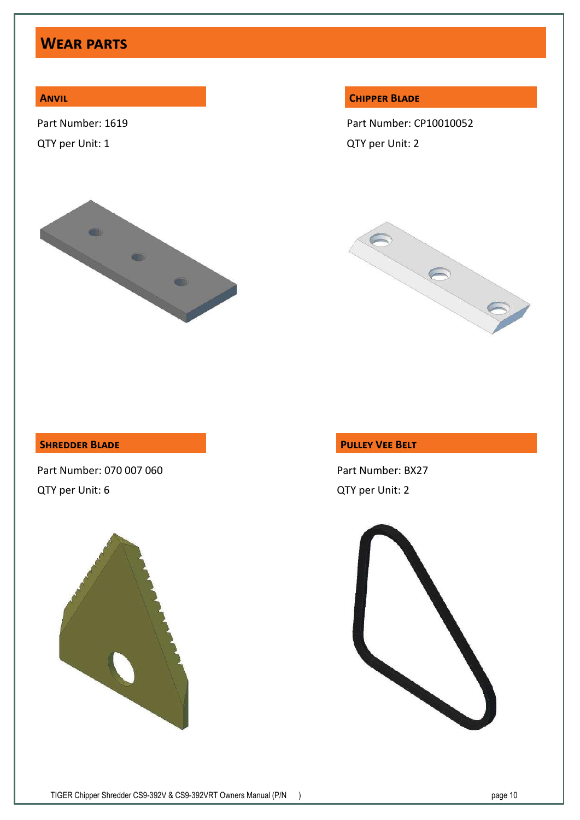## **Wear parts**

### **Anvil**

Part Number: 1619

QTY per Unit: 1



#### **Chipper Blade**

Part Number: CP10010052 QTY per Unit: 2



### **Shredder Blade**

Part Number: 070 007 060 QTY per Unit: 6



### **Pulley Vee Belt**

Part Number: BX27 QTY per Unit: 2

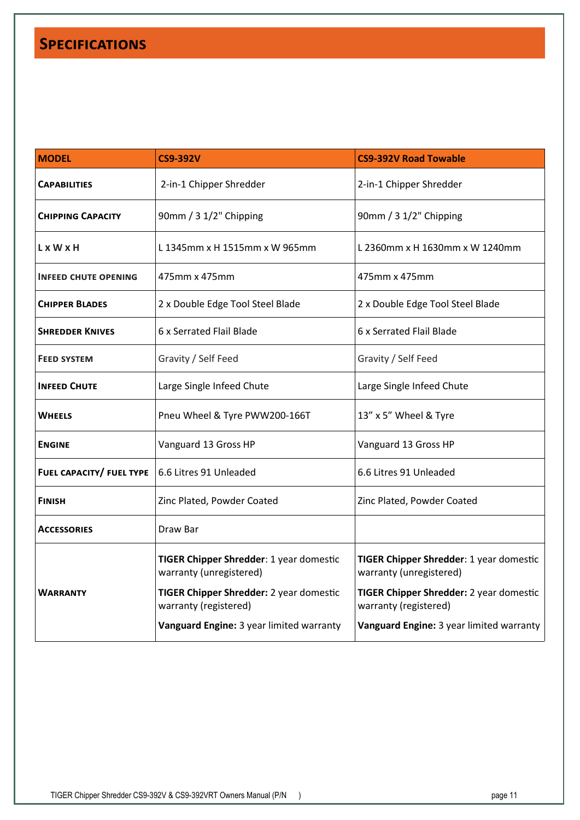## **Specifications**

| <b>MODEL</b>                | <b>CS9-392V</b>                                                    | <b>CS9-392V Road Towable</b>                                       |
|-----------------------------|--------------------------------------------------------------------|--------------------------------------------------------------------|
| <b>CAPABILITIES</b>         | 2-in-1 Chipper Shredder                                            | 2-in-1 Chipper Shredder                                            |
| <b>CHIPPING CAPACITY</b>    | 90mm / 3 1/2" Chipping                                             | 90mm / 3 1/2" Chipping                                             |
| L x W x H                   | L 1345mm x H 1515mm x W 965mm                                      | L 2360mm x H 1630mm x W 1240mm                                     |
| <b>INFEED CHUTE OPENING</b> | 475mm x 475mm                                                      | 475mm x 475mm                                                      |
| <b>CHIPPER BLADES</b>       | 2 x Double Edge Tool Steel Blade                                   | 2 x Double Edge Tool Steel Blade                                   |
| <b>SHREDDER KNIVES</b>      | 6 x Serrated Flail Blade                                           | 6 x Serrated Flail Blade                                           |
| <b>FEED SYSTEM</b>          | Gravity / Self Feed                                                | Gravity / Self Feed                                                |
| <b>INFEED CHUTE</b>         | Large Single Infeed Chute                                          | Large Single Infeed Chute                                          |
| <b>WHEELS</b>               | Pneu Wheel & Tyre PWW200-166T                                      | 13" x 5" Wheel & Tyre                                              |
| <b>ENGINE</b>               | Vanguard 13 Gross HP                                               | Vanguard 13 Gross HP                                               |
| FUEL CAPACITY/ FUEL TYPE    | 6.6 Litres 91 Unleaded                                             | 6.6 Litres 91 Unleaded                                             |
| <b>FINISH</b>               | Zinc Plated, Powder Coated                                         | Zinc Plated, Powder Coated                                         |
| <b>ACCESSORIES</b>          | Draw Bar                                                           |                                                                    |
|                             | TIGER Chipper Shredder: 1 year domestic<br>warranty (unregistered) | TIGER Chipper Shredder: 1 year domestic<br>warranty (unregistered) |
| <b>WARRANTY</b>             | TIGER Chipper Shredder: 2 year domestic<br>warranty (registered)   | TIGER Chipper Shredder: 2 year domestic<br>warranty (registered)   |
|                             | Vanguard Engine: 3 year limited warranty                           | Vanguard Engine: 3 year limited warranty                           |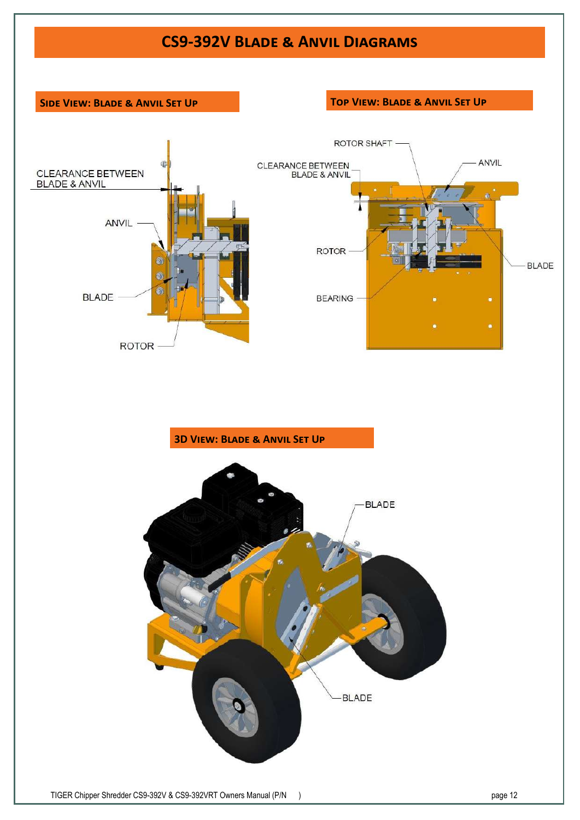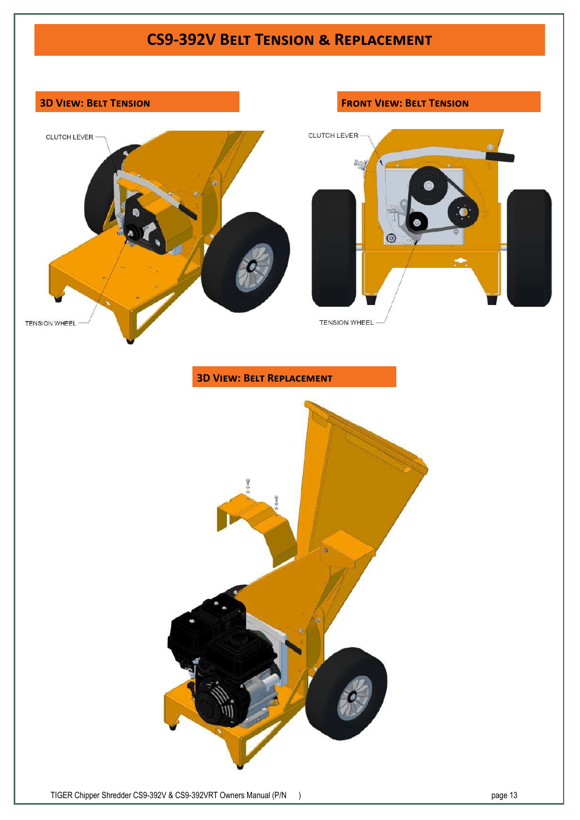

TIGER Chipper Shredder CS9-392V & CS9-392VRT Owners Manual (P/N ) page 13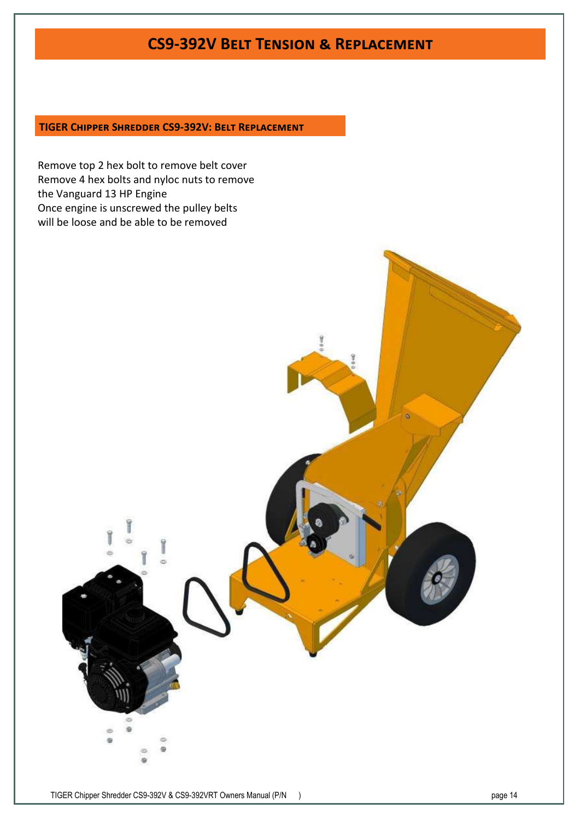### **CS9-392V Belt Tension & Replacement**

### **TIGER Chipper Shredder CS9-392V: Belt Replacement**

Remove top 2 hex bolt to remove belt cover Remove 4 hex bolts and nyloc nuts to remove the Vanguard 13 HP Engine Once engine is unscrewed the pulley belts will be loose and be able to be removed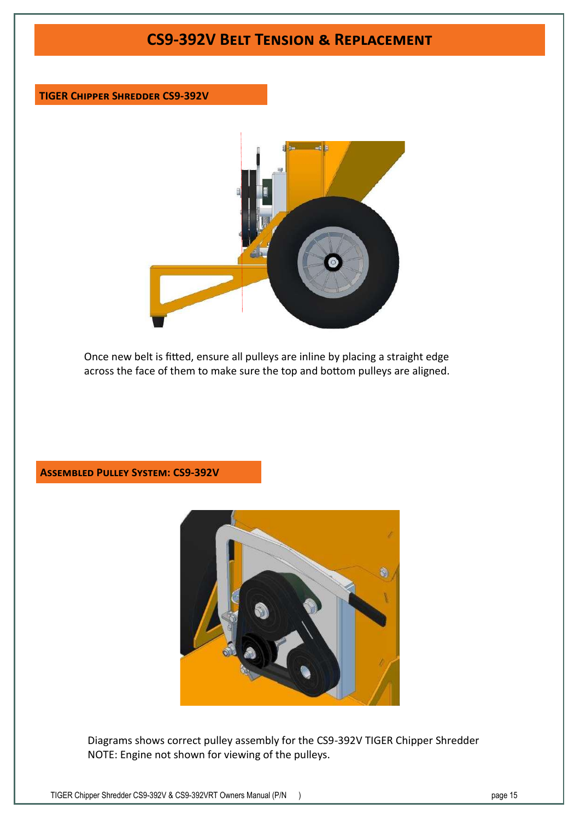## **CS9-392V Belt Tension & Replacement**

### **TIGER Chipper Shredder CS9-392V**



Once new belt is fitted, ensure all pulleys are inline by placing a straight edge across the face of them to make sure the top and bottom pulleys are aligned.

### **Assembled Pulley System: CS9-392V**



Diagrams shows correct pulley assembly for the CS9-392V TIGER Chipper Shredder NOTE: Engine not shown for viewing of the pulleys.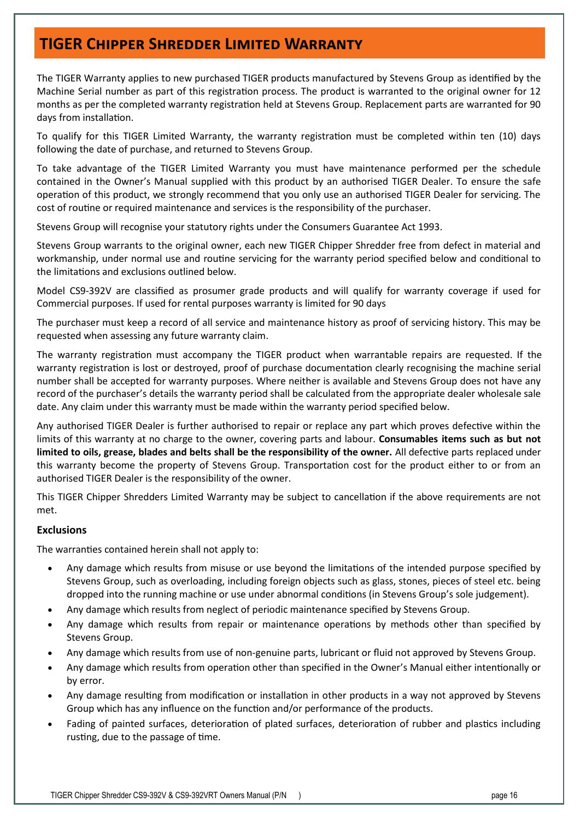## **TIGER Chipper Shredder Limited Warranty**

The TIGER Warranty applies to new purchased TIGER products manufactured by Stevens Group as identified by the Machine Serial number as part of this registration process. The product is warranted to the original owner for 12 months as per the completed warranty registration held at Stevens Group. Replacement parts are warranted for 90 days from installation.

To qualify for this TIGER Limited Warranty, the warranty registration must be completed within ten (10) days following the date of purchase, and returned to Stevens Group.

To take advantage of the TIGER Limited Warranty you must have maintenance performed per the schedule contained in the Owner's Manual supplied with this product by an authorised TIGER Dealer. To ensure the safe operation of this product, we strongly recommend that you only use an authorised TIGER Dealer for servicing. The cost of routine or required maintenance and services is the responsibility of the purchaser.

Stevens Group will recognise your statutory rights under the Consumers Guarantee Act 1993.

Stevens Group warrants to the original owner, each new TIGER Chipper Shredder free from defect in material and workmanship, under normal use and routine servicing for the warranty period specified below and conditional to the limitations and exclusions outlined below.

Model CS9-392V are classified as prosumer grade products and will qualify for warranty coverage if used for Commercial purposes. If used for rental purposes warranty is limited for 90 days

The purchaser must keep a record of all service and maintenance history as proof of servicing history. This may be requested when assessing any future warranty claim.

The warranty registration must accompany the TIGER product when warrantable repairs are requested. If the warranty registration is lost or destroyed, proof of purchase documentation clearly recognising the machine serial number shall be accepted for warranty purposes. Where neither is available and Stevens Group does not have any record of the purchaser's details the warranty period shall be calculated from the appropriate dealer wholesale sale date. Any claim under this warranty must be made within the warranty period specified below.

Any authorised TIGER Dealer is further authorised to repair or replace any part which proves defective within the limits of this warranty at no charge to the owner, covering parts and labour. **Consumables items such as but not limited to oils, grease, blades and belts shall be the responsibility of the owner.** All defective parts replaced under this warranty become the property of Stevens Group. Transportation cost for the product either to or from an authorised TIGER Dealer is the responsibility of the owner.

This TIGER Chipper Shredders Limited Warranty may be subject to cancellation if the above requirements are not met.

### **Exclusions**

The warranties contained herein shall not apply to:

- Any damage which results from misuse or use beyond the limitations of the intended purpose specified by Stevens Group, such as overloading, including foreign objects such as glass, stones, pieces of steel etc. being dropped into the running machine or use under abnormal conditions (in Stevens Group's sole judgement).
- Any damage which results from neglect of periodic maintenance specified by Stevens Group.
- Any damage which results from repair or maintenance operations by methods other than specified by Stevens Group.
- Any damage which results from use of non-genuine parts, lubricant or fluid not approved by Stevens Group.
- Any damage which results from operation other than specified in the Owner's Manual either intentionally or by error.
- Any damage resulting from modification or installation in other products in a way not approved by Stevens Group which has any influence on the function and/or performance of the products.
- Fading of painted surfaces, deterioration of plated surfaces, deterioration of rubber and plastics including rusting, due to the passage of time.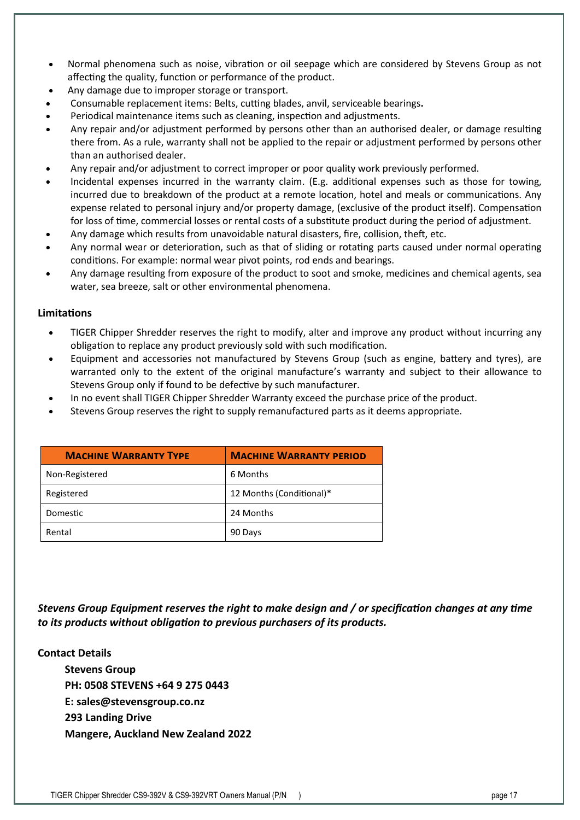- Normal phenomena such as noise, vibration or oil seepage which are considered by Stevens Group as not affecting the quality, function or performance of the product.
- Any damage due to improper storage or transport.
- Consumable replacement items: Belts, cutting blades, anvil, serviceable bearings**.**
- Periodical maintenance items such as cleaning, inspection and adjustments.
- Any repair and/or adjustment performed by persons other than an authorised dealer, or damage resulting there from. As a rule, warranty shall not be applied to the repair or adjustment performed by persons other than an authorised dealer.
- Any repair and/or adjustment to correct improper or poor quality work previously performed.
- Incidental expenses incurred in the warranty claim. (E.g. additional expenses such as those for towing, incurred due to breakdown of the product at a remote location, hotel and meals or communications. Any expense related to personal injury and/or property damage, (exclusive of the product itself). Compensation for loss of time, commercial losses or rental costs of a substitute product during the period of adjustment.
- Any damage which results from unavoidable natural disasters, fire, collision, theft, etc.
- Any normal wear or deterioration, such as that of sliding or rotating parts caused under normal operating conditions. For example: normal wear pivot points, rod ends and bearings.
- Any damage resulting from exposure of the product to soot and smoke, medicines and chemical agents, sea water, sea breeze, salt or other environmental phenomena.

### **Limitations**

- TIGER Chipper Shredder reserves the right to modify, alter and improve any product without incurring any obligation to replace any product previously sold with such modification.
- Equipment and accessories not manufactured by Stevens Group (such as engine, battery and tyres), are warranted only to the extent of the original manufacture's warranty and subject to their allowance to Stevens Group only if found to be defective by such manufacturer.
- In no event shall TIGER Chipper Shredder Warranty exceed the purchase price of the product.
- Stevens Group reserves the right to supply remanufactured parts as it deems appropriate.

| <b>MACHINE WARRANTY TYPE</b> | <b>MACHINE WARRANTY PERIOD</b> |
|------------------------------|--------------------------------|
| Non-Registered               | 6 Months                       |
| Registered                   | 12 Months (Conditional)*       |
| Domestic                     | 24 Months                      |
| Rental                       | 90 Days                        |

*Stevens Group Equipment reserves the right to make design and / or specification changes at any time to its products without obligation to previous purchasers of its products.* 

### **Contact Details**

**Stevens Group PH: 0508 STEVENS +64 9 275 0443 E: sales@stevensgroup.co.nz 293 Landing Drive Mangere, Auckland New Zealand 2022**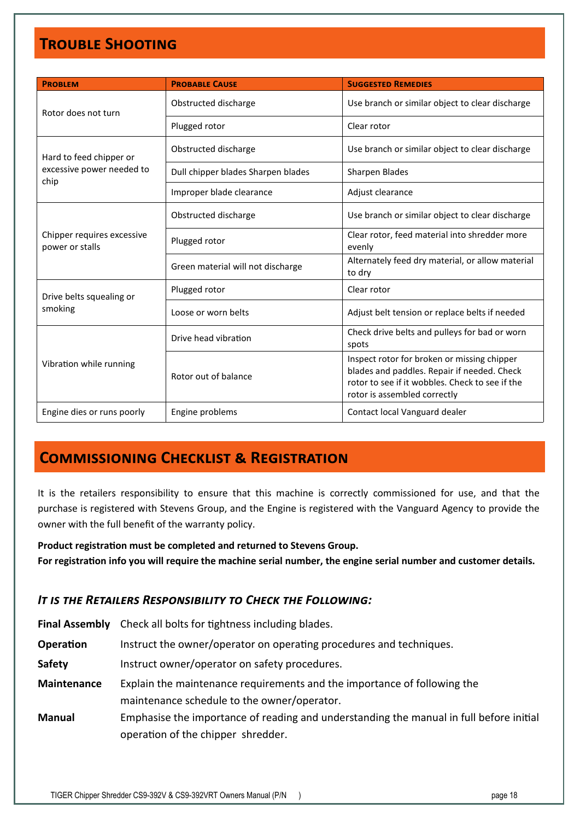# **Trouble Shooting**

| <b>PROBLEM</b>                                               | <b>PROBABLE CAUSE</b>              | <b>SUGGESTED REMEDIES</b>                                                                                                                                                     |  |
|--------------------------------------------------------------|------------------------------------|-------------------------------------------------------------------------------------------------------------------------------------------------------------------------------|--|
| Rotor does not turn                                          | Obstructed discharge               | Use branch or similar object to clear discharge                                                                                                                               |  |
|                                                              | Plugged rotor                      | Clear rotor                                                                                                                                                                   |  |
| Hard to feed chipper or<br>excessive power needed to<br>chip | Obstructed discharge               | Use branch or similar object to clear discharge                                                                                                                               |  |
|                                                              | Dull chipper blades Sharpen blades | Sharpen Blades                                                                                                                                                                |  |
|                                                              | Improper blade clearance           | Adjust clearance                                                                                                                                                              |  |
| Chipper requires excessive<br>power or stalls                | Obstructed discharge               | Use branch or similar object to clear discharge                                                                                                                               |  |
|                                                              | Plugged rotor                      | Clear rotor, feed material into shredder more<br>evenly                                                                                                                       |  |
|                                                              | Green material will not discharge  | Alternately feed dry material, or allow material<br>to dry                                                                                                                    |  |
| Drive belts squealing or<br>smoking                          | Plugged rotor                      | Clear rotor                                                                                                                                                                   |  |
|                                                              | Loose or worn belts                | Adjust belt tension or replace belts if needed                                                                                                                                |  |
| Vibration while running                                      | Drive head vibration               | Check drive belts and pulleys for bad or worn<br>spots                                                                                                                        |  |
|                                                              | Rotor out of balance               | Inspect rotor for broken or missing chipper<br>blades and paddles. Repair if needed. Check<br>rotor to see if it wobbles. Check to see if the<br>rotor is assembled correctly |  |
| Engine dies or runs poorly                                   | Engine problems                    | Contact local Vanguard dealer                                                                                                                                                 |  |

## **Commissioning Checklist & Registration**

It is the retailers responsibility to ensure that this machine is correctly commissioned for use, and that the purchase is registered with Stevens Group, and the Engine is registered with the Vanguard Agency to provide the owner with the full benefit of the warranty policy.

**Product registration must be completed and returned to Stevens Group. For registration info you will require the machine serial number, the engine serial number and customer details.** 

### *It is the Retailers Responsibility to Check the Following:*

|               | <b>Final Assembly</b> Check all bolts for tightness including blades.                   |
|---------------|-----------------------------------------------------------------------------------------|
| Operation     | Instruct the owner/operator on operating procedures and techniques.                     |
| <b>Safety</b> | Instruct owner/operator on safety procedures.                                           |
| Maintenance   | Explain the maintenance requirements and the importance of following the                |
|               | maintenance schedule to the owner/operator.                                             |
| <b>Manual</b> | Emphasise the importance of reading and understanding the manual in full before initial |
|               | operation of the chipper shredder.                                                      |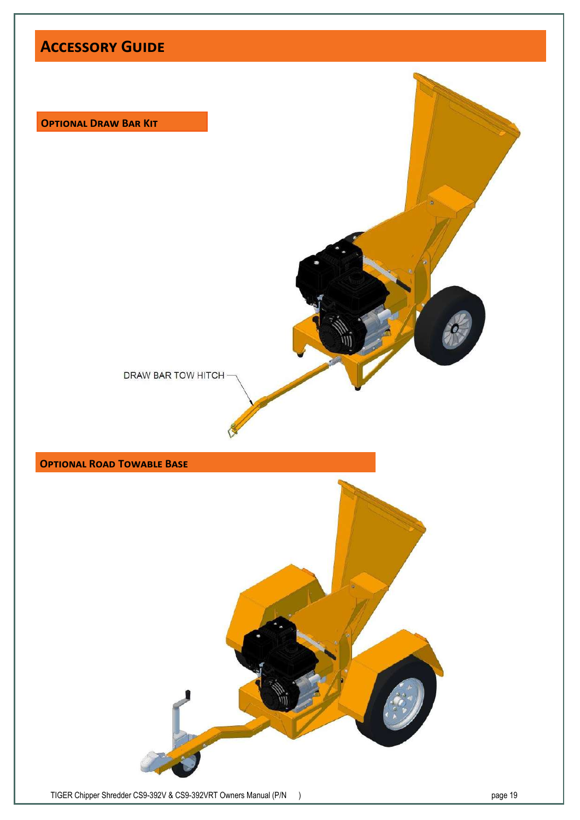